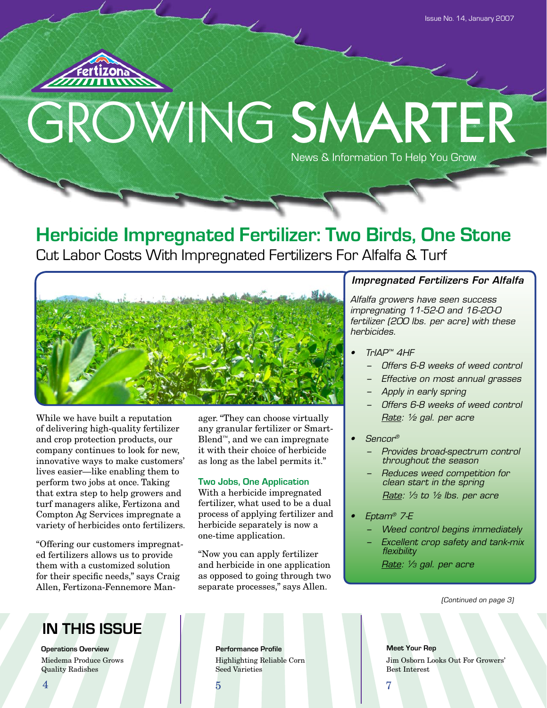

# GROWING SMARTER News & Information To Help You Grow

## **Herbicide Impregnated Fertilizer: Two Birds, One Stone**

Cut Labor Costs With Impregnated Fertilizers For Alfalfa & Turf



While we have built a reputation of delivering high-quality fertilizer and crop protection products, our company continues to look for new, innovative ways to make customers' lives easier—like enabling them to perform two jobs at once. Taking that extra step to help growers and turf managers alike, Fertizona and Compton Ag Services impregnate a variety of herbicides onto fertilizers.

"Offering our customers impregnated fertilizers allows us to provide them with a customized solution for their specific needs," says Craig Allen, Fertizona-Fennemore Manager. "They can choose virtually any granular fertilizer or Smart-Blend™, and we can impregnate it with their choice of herbicide as long as the label permits it."

### **Two Jobs, One Application**

With a herbicide impregnated fertilizer, what used to be a dual process of applying fertilizer and herbicide separately is now a one-time application.

"Now you can apply fertilizer and herbicide in one application as opposed to going through two separate processes," says Allen.

### *Impregnated Fertilizers For Alfalfa*

*Alfalfa growers have seen success impregnating 11-52-0 and 16-20-0 fertilizer (200 lbs. per acre) with these herbicides.*

- *• TrIAP™ 4HF*
	- *− Offers 6-8 weeks of weed control*
	- *− Effective on most annual grasses*
	- *− Apply in early spring*
	- *− Offers 6-8 weeks of weed control Rate: ½ gal. per acre*
- *• Sencor®*
	- *− Provides broad-spectrum control throughout the season*
	- *− Reduces weed competition for clean start in the spring Rate: 1 /3 to ½ lbs. per acre*
- *• Eptam® 7-E*
	- *− Weed control begins immediately*
	- *− Excellent crop safety and tank-mix flexibility*

*Rate: 1 /3 gal. per acre*

(Continued on page 3)

## **IN THIS ISSUE**

**Operations Overview <b>Performance Profile** Miedema Produce Grows Quality Radishes

Highlighting Reliable Corn Seed Varieties

**Meet Your Rep** Jim Osborn Looks Out For Growers' Best Interest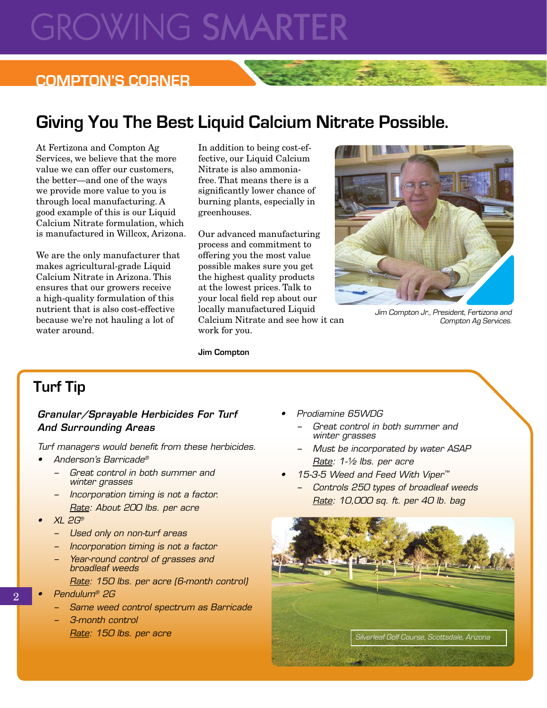# **GROWING SMARTER**

### **COMPTON'S CORNER**

## **Giving You The Best Liquid Calcium Nitrate Possible.**

At Fertizona and Compton Ag Services, we believe that the more value we can offer our customers, the better—and one of the ways we provide more value to you is through local manufacturing. A good example of this is our Liquid Calcium Nitrate formulation, which is manufactured in Willcox, Arizona.

We are the only manufacturer that makes agricultural-grade Liquid Calcium Nitrate in Arizona. This ensures that our growers receive a high-quality formulation of this nutrient that is also cost-effective because we're not hauling a lot of water around.

In addition to being cost-effective, our Liquid Calcium Nitrate is also ammoniafree. That means there is a significantly lower chance of burning plants, especially in greenhouses.

Our advanced manufacturing process and commitment to offering you the most value possible makes sure you get the highest quality products at the lowest prices. Talk to your local field rep about our locally manufactured Liquid Calcium Nitrate and see how it can work for you.



Jim Compton Jr., President, Fertizona and Compton Ag Services.

**Jim Compton**

## **Turf Tip**

### *Granular/Sprayable Herbicides For Turf And Surrounding Areas*

*Turf managers would benefit from these herbicides.* 

- *• Anderson's Barricade®*
	- *− Great control in both summer and winter grasses*
	- *− Incorporation timing is not a factor. Rate: About 200 lbs. per acre*
- *• XL 2G®*
	- *− Used only on non-turf areas*
	- *− Incorporation timing is not a factor*
	- *− Year-round control of grasses and broadleaf weeds*

*Rate: 150 lbs. per acre (6-month control)*

*• Pendulum® 2G*

 $\overline{2}$ 

- *− Same weed control spectrum as Barricade*
- *− 3-month control Rate: 150 lbs. per acre*
- *• Prodiamine 65WDG*
	- *− Great control in both summer and winter grasses*
	- *− Must be incorporated by water ASAP Rate: 1-½ lbs. per acre*
- *• 15-3-5 Weed and Feed With Viper™*
	- *− Controls 250 types of broadleaf weeds Rate: 10,000 sq. ft. per 40 lb. bag*

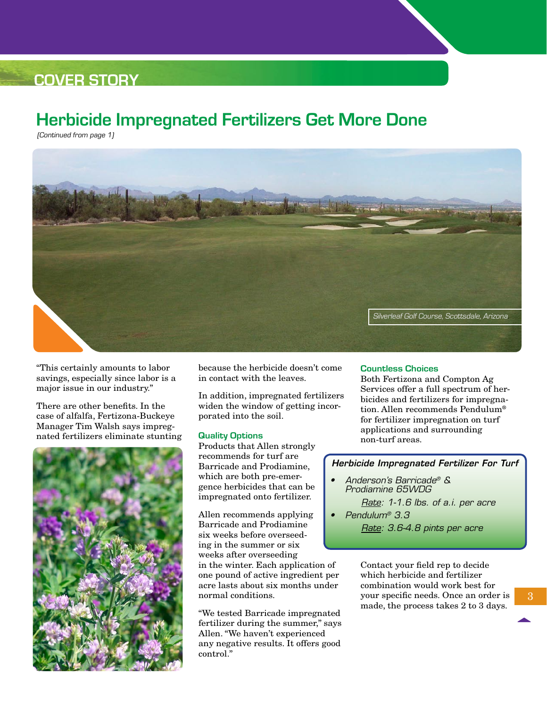## **COVER STORY**

## **Herbicide Impregnated Fertilizers Get More Done**

(Continued from page 1)



"This certainly amounts to labor savings, especially since labor is a major issue in our industry."

There are other benefits. In the case of alfalfa, Fertizona-Buckeye Manager Tim Walsh says impregnated fertilizers eliminate stunting



because the herbicide doesn't come in contact with the leaves.

In addition, impregnated fertilizers widen the window of getting incorporated into the soil.

### **Quality Options**

Products that Allen strongly recommends for turf are Barricade and Prodiamine, which are both pre-emergence herbicides that can be impregnated onto fertilizer.

Allen recommends applying Barricade and Prodiamine six weeks before overseeding in the summer or six weeks after overseeding

in the winter. Each application of one pound of active ingredient per acre lasts about six months under normal conditions.

"We tested Barricade impregnated fertilizer during the summer," says Allen. "We haven't experienced any negative results. It offers good control."

### **Countless Choices**

Both Fertizona and Compton Ag Services offer a full spectrum of herbicides and fertilizers for impregnation. Allen recommends Pendulum® for fertilizer impregnation on turf applications and surrounding non-turf areas.

### *Herbicide Impregnated Fertilizer For Turf*

- *• Anderson's Barricade® & Prodiamine 65WDG*
	- *Rate: 1-1.6 lbs. of a.i. per acre • Pendulum® 3.3*
		- *Rate: 3.6-4.8 pints per acre*

Contact your field rep to decide which herbicide and fertilizer combination would work best for your specific needs. Once an order is made, the process takes 2 to 3 days.

3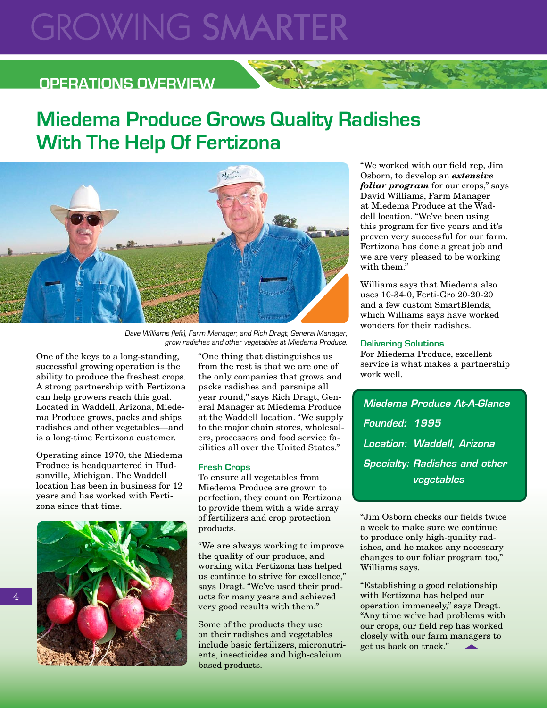# **GROWING SMARTER**

### **OPERATIONS OVERVIEW**

# **Miedema Produce Grows Quality Radishes With The Help Of Fertizona**



Dave Williams (left), Farm Manager, and Rich Dragt, General Manager, grow radishes and other vegetables at Miedema Produce.

One of the keys to a long-standing, successful growing operation is the ability to produce the freshest crops. A strong partnership with Fertizona can help growers reach this goal. Located in Waddell, Arizona, Miedema Produce grows, packs and ships radishes and other vegetables—and is a long-time Fertizona customer.

Operating since 1970, the Miedema Produce is headquartered in Hudsonville, Michigan. The Waddell location has been in business for 12 years and has worked with Fertizona since that time.



"One thing that distinguishes us from the rest is that we are one of the only companies that grows and packs radishes and parsnips all year round," says Rich Dragt, General Manager at Miedema Produce at the Waddell location. "We supply to the major chain stores, wholesalers, processors and food service facilities all over the United States."

### **Fresh Crops**

To ensure all vegetables from Miedema Produce are grown to perfection, they count on Fertizona to provide them with a wide array of fertilizers and crop protection products.

"We are always working to improve the quality of our produce, and working with Fertizona has helped us continue to strive for excellence," says Dragt. "We've used their products for many years and achieved very good results with them."

Some of the products they use on their radishes and vegetables include basic fertilizers, micronutrients, insecticides and high-calcium based products.

"We worked with our field rep, Jim Osborn, to develop an *extensive foliar program* for our crops," says David Williams, Farm Manager at Miedema Produce at the Waddell location. "We've been using this program for five years and it's proven very successful for our farm. Fertizona has done a great job and we are very pleased to be working with them."

Williams says that Miedema also uses 10-34-0, Ferti-Gro 20-20-20 and a few custom SmartBlends, which Williams says have worked wonders for their radishes.

### **Delivering Solutions**

For Miedema Produce, excellent service is what makes a partnership work well.

*Miedema Produce At-A-Glance Founded: 1995 Location: Waddell, Arizona Specialty: Radishes and other vegetables*

"Jim Osborn checks our fields twice a week to make sure we continue to produce only high-quality radishes, and he makes any necessary changes to our foliar program too," Williams says.

"Establishing a good relationship with Fertizona has helped our operation immensely," says Dragt. "Any time we've had problems with our crops, our field rep has worked closely with our farm managers to get us back on track."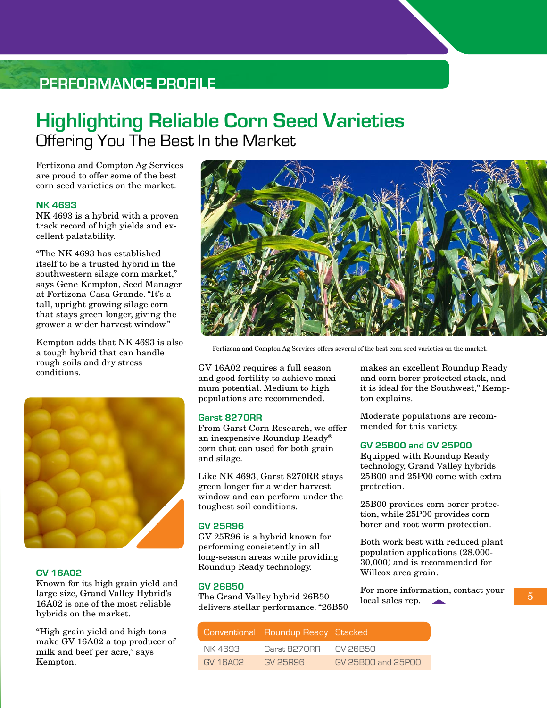## **performance profile**

## **Highlighting Reliable Corn Seed Varieties** Offering You The Best In the Market

Fertizona and Compton Ag Services are proud to offer some of the best corn seed varieties on the market.

### **NK 4693**

NK 4693 is a hybrid with a proven track record of high yields and excellent palatability.

"The NK 4693 has established itself to be a trusted hybrid in the southwestern silage corn market," says Gene Kempton, Seed Manager at Fertizona-Casa Grande. "It's a tall, upright growing silage corn that stays green longer, giving the grower a wider harvest window."

Kempton adds that NK 4693 is also a tough hybrid that can handle rough soils and dry stress conditions.



### **GV 16A02**

Known for its high grain yield and large size, Grand Valley Hybrid's 16A02 is one of the most reliable hybrids on the market.

"High grain yield and high tons make GV 16A02 a top producer of milk and beef per acre," says Kempton.



Fertizona and Compton Ag Services offers several of the best corn seed varieties on the market.

GV 16A02 requires a full season and good fertility to achieve maximum potential. Medium to high populations are recommended.

### **Garst 8270RR**

From Garst Corn Research, we offer an inexpensive Roundup Ready® corn that can used for both grain and silage.

Like NK 4693, Garst 8270RR stays green longer for a wider harvest window and can perform under the toughest soil conditions.

### **GV 25R96**

GV 25R96 is a hybrid known for performing consistently in all long-season areas while providing Roundup Ready technology.

#### **GV 26B50**

The Grand Valley hybrid 26B50 delivers stellar performance. "26B50

|          | Conventional Roundup Ready Stacked |                    |
|----------|------------------------------------|--------------------|
| NK 4693  | Garst 8270RR                       | GV 26B50           |
| GV 16A02 | GV 25896                           | GV 25B00 and 25P00 |

makes an excellent Roundup Ready and corn borer protected stack, and it is ideal for the Southwest," Kempton explains.

Moderate populations are recommended for this variety.

#### **GV 25B00 and GV 25P00**

Equipped with Roundup Ready technology, Grand Valley hybrids 25B00 and 25P00 come with extra protection.

25B00 provides corn borer protection, while 25P00 provides corn borer and root worm protection.

Both work best with reduced plant population applications (28,000- 30,000) and is recommended for Willcox area grain.

For more information, contact your local sales rep.  $\overline{\phantom{0}}$  5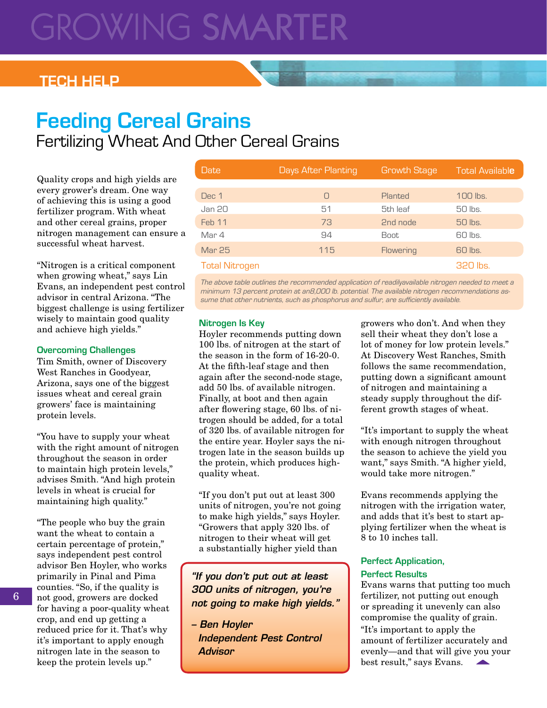# GROWING SMARTE

### **Tech HELP**

## **Feeding Cereal Grains** Fertilizing Wheat And Other Cereal Grains

Quality crops and high yields are every grower's dream. One way of achieving this is using a good fertilizer program. With wheat and other cereal grains, proper nitrogen management can ensure a successful wheat harvest.

"Nitrogen is a critical component when growing wheat," says Lin Evans, an independent pest control advisor in central Arizona. "The biggest challenge is using fertilizer wisely to maintain good quality and achieve high yields."

### **Overcoming Challenges**

Tim Smith, owner of Discovery West Ranches in Goodyear, Arizona, says one of the biggest issues wheat and cereal grain growers' face is maintaining protein levels.

"You have to supply your wheat with the right amount of nitrogen throughout the season in order to maintain high protein levels," advises Smith. "And high protein levels in wheat is crucial for maintaining high quality."

"The people who buy the grain want the wheat to contain a certain percentage of protein," says independent pest control advisor Ben Hoyler, who works primarily in Pinal and Pima counties. "So, if the quality is not good, growers are docked for having a poor-quality wheat crop, and end up getting a reduced price for it. That's why it's important to apply enough nitrogen late in the season to keep the protein levels up."

| Date                  | Days After Planting | <b>Growth Stage</b> | <b>Total Available</b> |
|-----------------------|---------------------|---------------------|------------------------|
|                       |                     |                     |                        |
| Dec 1                 | $\bigcap$           | Planted             | 100 lbs.               |
| Jan 20                | 51                  | 5th leaf            | 50 lbs.                |
| Feb 11                | 73                  | 2nd node            | 50 lbs.                |
| Mar 4                 | 94                  | <b>Boot</b>         | 60 lbs.                |
| <b>Mar 25</b>         | 115                 | Flowering           | 60 lbs.                |
| <b>Total Nitrogen</b> |                     |                     | 320 lbs.               |

The above table outlines the recommended application of readilyavailable nitrogen needed to meet a minimum 13 percent protein at an8,000 lb. potential. The available nitrogen recommendations assume that other nutrients, such as phosphorus and sulfur, are sufficiently available.

### **Nitrogen Is Key**

Hoyler recommends putting down 100 lbs. of nitrogen at the start of the season in the form of 16-20-0. At the fifth-leaf stage and then again after the second-node stage, add 50 lbs. of available nitrogen. Finally, at boot and then again after flowering stage, 60 lbs. of nitrogen should be added, for a total of 320 lbs. of available nitrogen for the entire year. Hoyler says the nitrogen late in the season builds up the protein, which produces highquality wheat.

"If you don't put out at least 300 units of nitrogen, you're not going to make high yields," says Hoyler. "Growers that apply 320 lbs. of nitrogen to their wheat will get a substantially higher yield than

*"If you don't put out at least 300 units of nitrogen, you're not going to make high yields."*

*– Ben Hoyler Independent Pest Control Advisor*

growers who don't. And when they sell their wheat they don't lose a lot of money for low protein levels." At Discovery West Ranches, Smith follows the same recommendation, putting down a significant amount of nitrogen and maintaining a steady supply throughout the different growth stages of wheat.

"It's important to supply the wheat with enough nitrogen throughout the season to achieve the yield you want," says Smith. "A higher yield, would take more nitrogen."

Evans recommends applying the nitrogen with the irrigation water, and adds that it's best to start applying fertilizer when the wheat is 8 to 10 inches tall.

### **Perfect Application, Perfect Results**

Evans warns that putting too much fertilizer, not putting out enough or spreading it unevenly can also compromise the quality of grain. "It's important to apply the amount of fertilizer accurately and evenly—and that will give you your best result," says Evans.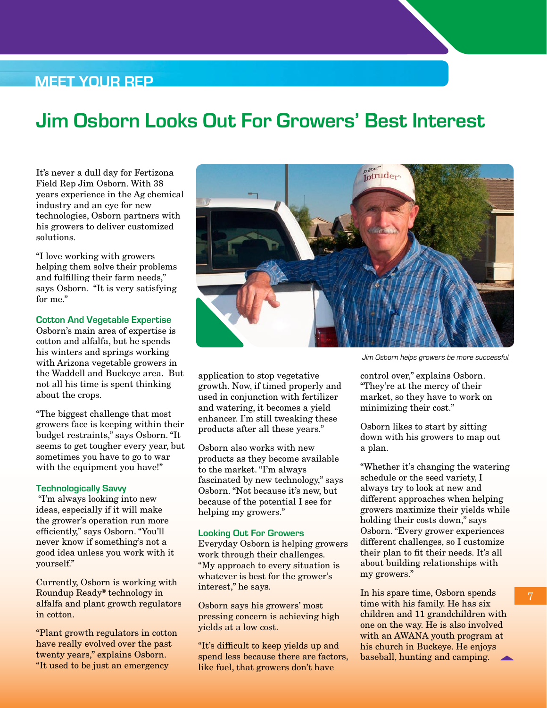### **Meet Your Rep**

## **Jim Osborn Looks Out For Growers' Best Interest**

It's never a dull day for Fertizona Field Rep Jim Osborn. With 38 years experience in the Ag chemical industry and an eye for new technologies, Osborn partners with his growers to deliver customized solutions.

"I love working with growers helping them solve their problems and fulfilling their farm needs," says Osborn. "It is very satisfying for me."

### **Cotton And Vegetable Expertise**

Osborn's main area of expertise is cotton and alfalfa, but he spends his winters and springs working with Arizona vegetable growers in the Waddell and Buckeye area. But not all his time is spent thinking about the crops.

"The biggest challenge that most growers face is keeping within their budget restraints," says Osborn. "It seems to get tougher every year, but sometimes you have to go to war with the equipment you have!"

### **Technologically Savvy**

 "I'm always looking into new ideas, especially if it will make the grower's operation run more efficiently," says Osborn. "You'll never know if something's not a good idea unless you work with it yourself."

Currently, Osborn is working with Roundup Ready® technology in alfalfa and plant growth regulators in cotton.

"Plant growth regulators in cotton have really evolved over the past twenty years," explains Osborn. "It used to be just an emergency



application to stop vegetative growth. Now, if timed properly and used in conjunction with fertilizer and watering, it becomes a yield enhancer. I'm still tweaking these products after all these years."

Osborn also works with new products as they become available to the market. "I'm always fascinated by new technology," says Osborn. "Not because it's new, but because of the potential I see for helping my growers."

### **Looking Out For Growers**

Everyday Osborn is helping growers work through their challenges. "My approach to every situation is whatever is best for the grower's interest," he says.

Osborn says his growers' most pressing concern is achieving high yields at a low cost.

"It's difficult to keep yields up and spend less because there are factors, like fuel, that growers don't have

Jim Osborn helps growers be more successful.

control over," explains Osborn. "They're at the mercy of their market, so they have to work on minimizing their cost."

Osborn likes to start by sitting down with his growers to map out a plan.

"Whether it's changing the watering schedule or the seed variety, I always try to look at new and different approaches when helping growers maximize their yields while holding their costs down," says Osborn. "Every grower experiences different challenges, so I customize their plan to fit their needs. It's all about building relationships with my growers."

In his spare time, Osborn spends time with his family. He has six children and 11 grandchildren with one on the way. He is also involved with an AWANA youth program at his church in Buckeye. He enjoys baseball, hunting and camping.